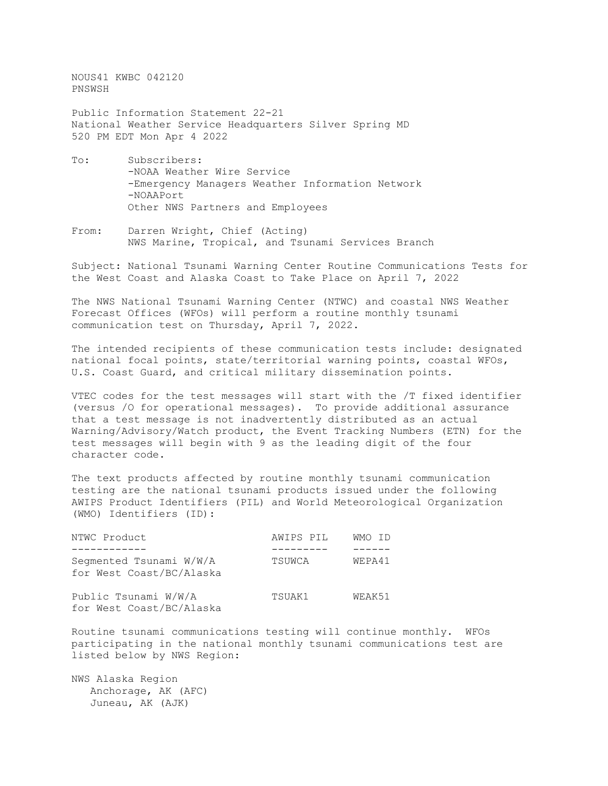NOUS41 KWBC 042120 PNSWSH

Public Information Statement 22-21 National Weather Service Headquarters Silver Spring MD 520 PM EDT Mon Apr 4 2022

- To: Subscribers: -NOAA Weather Wire Service -Emergency Managers Weather Information Network -NOAAPort Other NWS Partners and Employees
- From: Darren Wright, Chief (Acting) NWS Marine, Tropical, and Tsunami Services Branch

Subject: National Tsunami Warning Center Routine Communications Tests for the West Coast and Alaska Coast to Take Place on April 7, 2022

The NWS National Tsunami Warning Center (NTWC) and coastal NWS Weather Forecast Offices (WFOs) will perform a routine monthly tsunami communication test on Thursday, April 7, 2022.

The intended recipients of these communication tests include: designated national focal points, state/territorial warning points, coastal WFOs, U.S. Coast Guard, and critical military dissemination points.

VTEC codes for the test messages will start with the /T fixed identifier (versus /O for operational messages). To provide additional assurance that a test message is not inadvertently distributed as an actual Warning/Advisory/Watch product, the Event Tracking Numbers (ETN) for the test messages will begin with 9 as the leading digit of the four character code.

The text products affected by routine monthly tsunami communication testing are the national tsunami products issued under the following AWIPS Product Identifiers (PIL) and World Meteorological Organization (WMO) Identifiers (ID):

| NTWC Product                                        | AWIPS PIL | WMO ID |
|-----------------------------------------------------|-----------|--------|
|                                                     |           |        |
| Segmented Tsunami W/W/A<br>for West Coast/BC/Alaska | TSUWCA    | WEPA41 |
| Public Tsunami W/W/A<br>for West Coast/BC/Alaska    | TSUAK1    | WEAK51 |

Routine tsunami communications testing will continue monthly. WFOs participating in the national monthly tsunami communications test are listed below by NWS Region:

NWS Alaska Region Anchorage, AK (AFC) Juneau, AK (AJK)